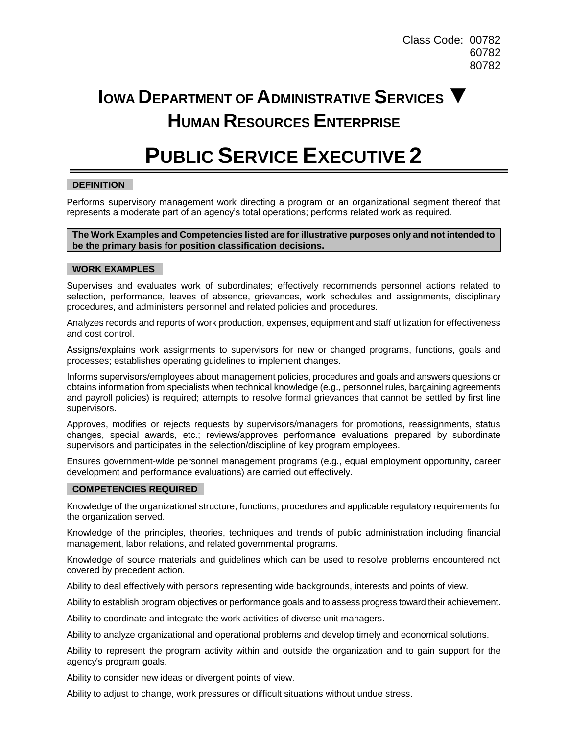Class Code: 00782 60782 80782

## **IOWA DEPARTMENT OF ADMINISTRATIVE SERVICES ▼ HUMAN RESOURCES ENTERPRISE**

# **PUBLIC SERVICE EXECUTIVE 2**

### **DEFINITION**

Performs supervisory management work directing a program or an organizational segment thereof that represents a moderate part of an agency's total operations; performs related work as required.

#### **The Work Examples and Competencies listed are for illustrative purposes only and not intended to be the primary basis for position classification decisions.**

#### **WORK EXAMPLES**

Supervises and evaluates work of subordinates; effectively recommends personnel actions related to selection, performance, leaves of absence, grievances, work schedules and assignments, disciplinary procedures, and administers personnel and related policies and procedures.

Analyzes records and reports of work production, expenses, equipment and staff utilization for effectiveness and cost control.

Assigns/explains work assignments to supervisors for new or changed programs, functions, goals and processes; establishes operating guidelines to implement changes.

Informs supervisors/employees about management policies, procedures and goals and answers questions or obtains information from specialists when technical knowledge (e.g., personnel rules, bargaining agreements and payroll policies) is required; attempts to resolve formal grievances that cannot be settled by first line supervisors.

Approves, modifies or rejects requests by supervisors/managers for promotions, reassignments, status changes, special awards, etc.; reviews/approves performance evaluations prepared by subordinate supervisors and participates in the selection/discipline of key program employees.

Ensures government-wide personnel management programs (e.g., equal employment opportunity, career development and performance evaluations) are carried out effectively.

#### **COMPETENCIES REQUIRED**

Knowledge of the organizational structure, functions, procedures and applicable regulatory requirements for the organization served.

Knowledge of the principles, theories, techniques and trends of public administration including financial management, labor relations, and related governmental programs.

Knowledge of source materials and guidelines which can be used to resolve problems encountered not covered by precedent action.

Ability to deal effectively with persons representing wide backgrounds, interests and points of view.

Ability to establish program objectives or performance goals and to assess progress toward their achievement.

Ability to coordinate and integrate the work activities of diverse unit managers.

Ability to analyze organizational and operational problems and develop timely and economical solutions.

Ability to represent the program activity within and outside the organization and to gain support for the agency's program goals.

Ability to consider new ideas or divergent points of view.

Ability to adjust to change, work pressures or difficult situations without undue stress.